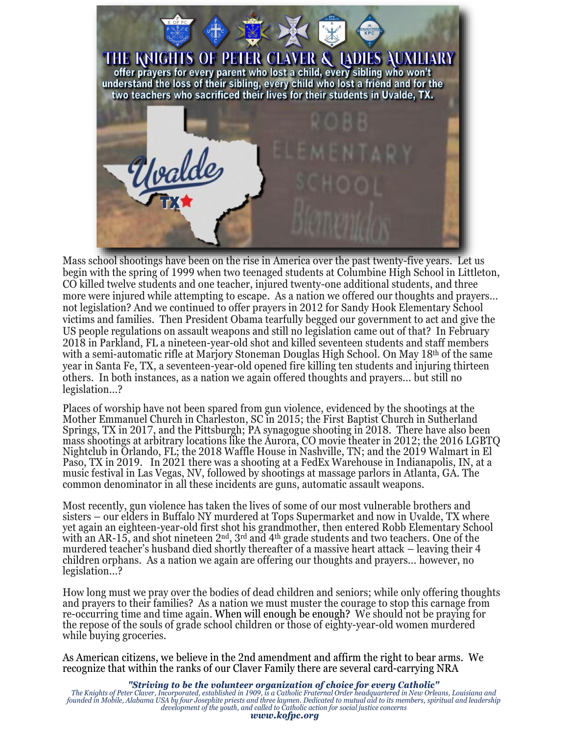

Mass school shootings have been on the rise in America over the past twenty-five years. Let us begin with the spring of 1999 when two teenaged students at Columbine High School in Littleton, CO killed twelve students and one teacher, injured twenty-one additional students, and three more were injured while attempting to escape. As a nation we offered our thoughts and prayers… not legislation? And we continued to offer prayers in 2012 for Sandy Hook Elementary School victims and families. Then President Obama tearfully begged our government to act and give the US people regulations on assault weapons and still no legislation came out of that? In February 2018 in Parkland, FL a nineteen-year-old shot and killed seventeen students and staff members with a semi-automatic rifle at Marjory Stoneman Douglas High School. On May 18th of the same year in Santa Fe, TX, a seventeen-year-old opened fire killing ten students and injuring thirteen others. In both instances, as a nation we again offered thoughts and prayers… but still no legislation…?

Places of worship have not been spared from gun violence, evidenced by the shootings at the Mother Emmanuel Church in Charleston, SC in 2015; the First Baptist Church in Sutherland Springs, TX in 2017, and the Pittsburgh; PA synagogue shooting in 2018. There have also been mass shootings at arbitrary locations like the Aurora, CO movie theater in 2012; the 2016 LGBTQ Nightclub in Orlando, FL; the 2018 Waffle House in Nashville, TN; and the 2019 Walmart in El Paso, TX in 2019. In 2021 there was a shooting at a FedEx Warehouse in Indianapolis, IN, at a music festival in Las Vegas, NV, followed by shootings at massage parlors in Atlanta, GA. The common denominator in all these incidents are guns, automatic assault weapons.

Most recently, gun violence has taken the lives of some of our most vulnerable brothers and sisters – our elders in Buffalo NY murdered at Tops Supermarket and now in Uvalde, TX where yet again an eighteen-year-old first shot his grandmother, then entered Robb Elementary School with an AR-15, and shot nineteen 2<sup>nd</sup>, 3<sup>rd</sup> and 4<sup>th</sup> grade students and two teachers. One of the murdered teacher's husband died shortly thereafter of a massive heart attack – leaving their 4 children orphans. As a nation we again are offering our thoughts and prayers… however, no legislation…?

How long must we pray over the bodies of dead children and seniors; while only offering thoughts and prayers to their families? As a nation we must muster the courage to stop this carnage from re-occurring time and time again. When will enough be enough? We should not be praying for the repose of the souls of grade school children or those of eighty-year-old women murdered while buying groceries.

As American citizens, we believe in the 2nd amendment and affirm the right to bear arms. We recognize that within the ranks of our Claver Family there are several card-carrying NRA

**"Striving to be the volunteer organization of choice for every Catholic"**<br>The Knights of Peter Claver, Incorporated, established in 1909, is a Catholic Fraternal Order headquartered in New Orleans, Louisiana and<br>founded i *www.kofpc.org*